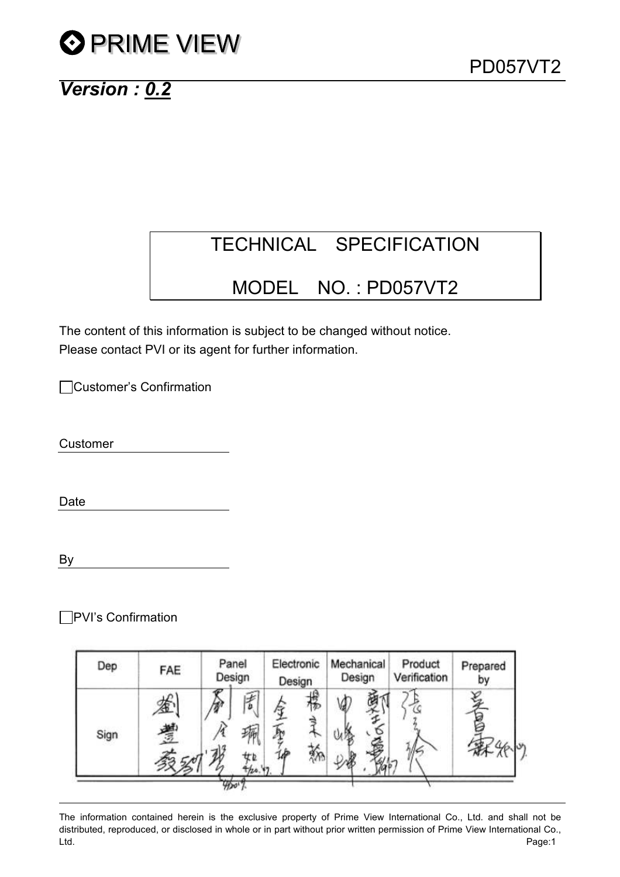# **O PRIME VIEW**

## Version : 0.2

## TECHNICAL SPECIFICATION

### MODEL NO. : PD057VT2

The content of this information is subject to be changed without notice. Please contact PVI or its agent for further information.

Customer's Confirmation

Customer

Date

By

□PVI's Confirmation

| Dep  | FAE          |  | Panel<br>Design |    | Electronic<br>Design |   |  | Mechanical<br>Design |  | Product<br>Verification | Prepared<br>by |
|------|--------------|--|-----------------|----|----------------------|---|--|----------------------|--|-------------------------|----------------|
| Sign | ۱n<br>Æ<br>豐 |  | ば<br>b          | ÆΜ | 搰<br>TP<br>₹Υ.       | Ø |  |                      |  |                         |                |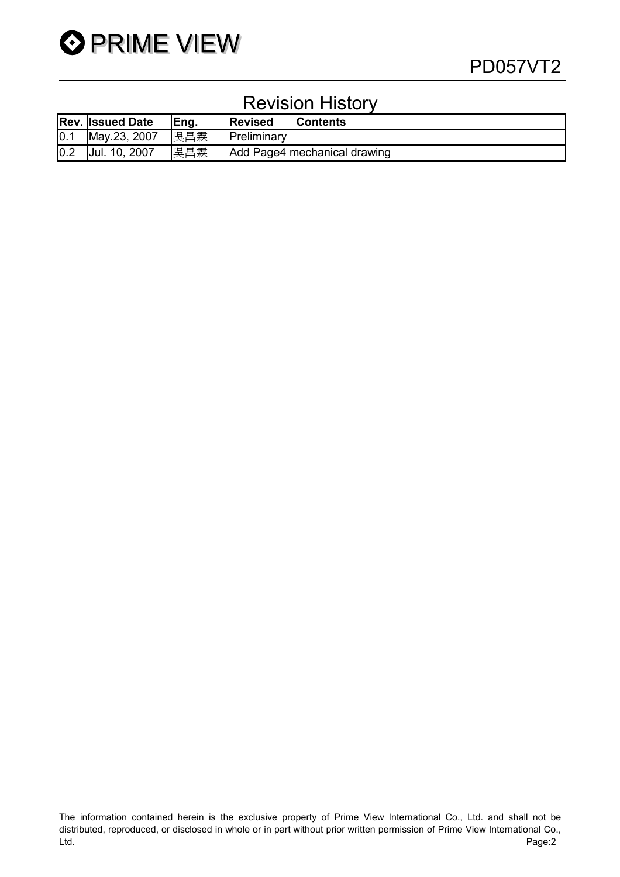

### Revision History

|     | <b>Rev. Issued Date</b> | Eng. | <b>Revised</b><br><b>Contents</b> |
|-----|-------------------------|------|-----------------------------------|
| 0.1 | May.23, 2007            | 吳昌霖  | Preliminary                       |
| 0.2 | Jul. 10, 2007           | 吳昌霖  | Add Page4 mechanical drawing      |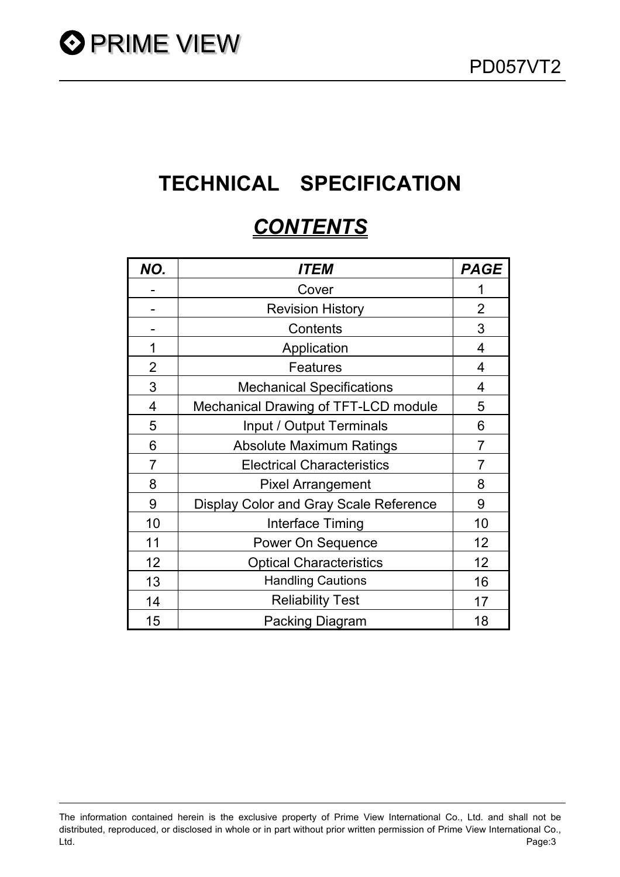## TECHNICAL SPECIFICATION

## **CONTENTS**

| NO.            | <i>ITEM</i>                            | <b>PAGE</b>    |
|----------------|----------------------------------------|----------------|
|                | Cover                                  |                |
|                | <b>Revision History</b>                | 2              |
|                | Contents                               | 3              |
| 1              | Application                            | 4              |
| $\overline{2}$ | Features                               | 4              |
| 3              | <b>Mechanical Specifications</b>       | 4              |
| $\overline{4}$ | Mechanical Drawing of TFT-LCD module   | 5              |
| 5              | Input / Output Terminals               | 6              |
| 6              | <b>Absolute Maximum Ratings</b>        | $\overline{7}$ |
| $\overline{7}$ | <b>Electrical Characteristics</b>      | $\overline{7}$ |
| 8              | <b>Pixel Arrangement</b>               | 8              |
| 9              | Display Color and Gray Scale Reference | 9              |
| 10             | Interface Timing                       | 10             |
| 11             | Power On Sequence                      | 12             |
| 12             | <b>Optical Characteristics</b>         | 12             |
| 13             | <b>Handling Cautions</b>               | 16             |
| 14             | <b>Reliability Test</b>                | 17             |
| 15             | <b>Packing Diagram</b>                 | 18             |

The information contained herein is the exclusive property of Prime View International Co., Ltd. and shall not be distributed, reproduced, or disclosed in whole or in part without prior written permission of Prime View International Co., Ltd. Page:3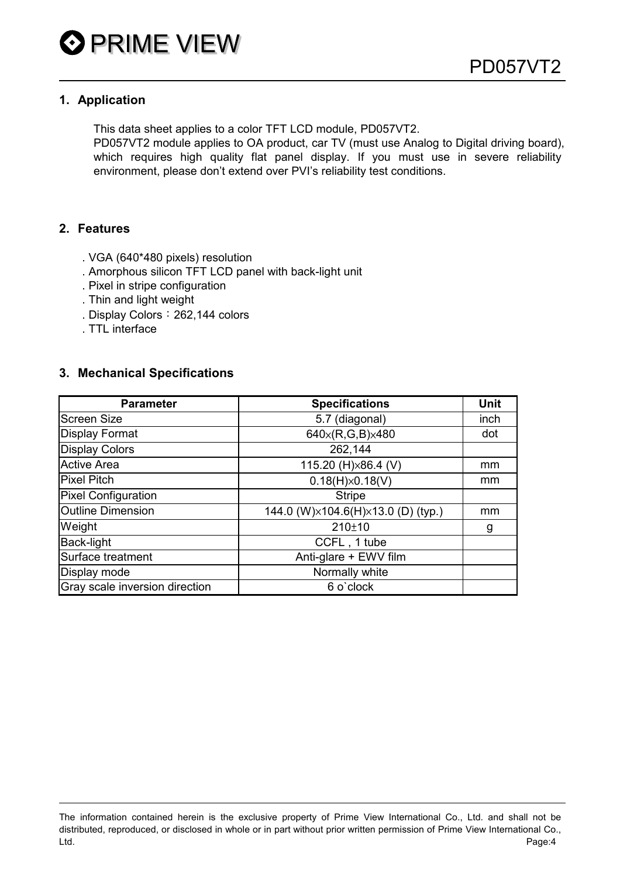#### 1. Application

This data sheet applies to a color TFT LCD module, PD057VT2.

PD057VT2 module applies to OA product, car TV (must use Analog to Digital driving board), which requires high quality flat panel display. If you must use in severe reliability environment, please don't extend over PVI's reliability test conditions.

#### 2. Features

- . VGA (640\*480 pixels) resolution
- . Amorphous silicon TFT LCD panel with back-light unit
- . Pixel in stripe configuration
- . Thin and light weight
- . Display Colors: 262,144 colors
- . TTL interface

#### 3. Mechanical Specifications

| <b>Parameter</b>               | <b>Specifications</b>              | <b>Unit</b> |
|--------------------------------|------------------------------------|-------------|
| <b>Screen Size</b>             | 5.7 (diagonal)                     | inch        |
| <b>Display Format</b>          | 640×(R,G,B)×480                    | dot         |
| <b>Display Colors</b>          | 262,144                            |             |
| <b>Active Area</b>             | 115.20 (H)×86.4 (V)                | mm          |
| <b>Pixel Pitch</b>             | $0.18(H)\times 0.18(V)$            | mm          |
| <b>Pixel Configuration</b>     | <b>Stripe</b>                      |             |
| <b>Outline Dimension</b>       | 144.0 (W)×104.6(H)×13.0 (D) (typ.) | mm          |
| Weight                         | $210+10$                           | g           |
| <b>Back-light</b>              | CCFL, 1 tube                       |             |
| Surface treatment              | Anti-glare + EWV film              |             |
| Display mode                   | Normally white                     |             |
| Gray scale inversion direction | 6 o'clock                          |             |

The information contained herein is the exclusive property of Prime View International Co., Ltd. and shall not be distributed, reproduced, or disclosed in whole or in part without prior written permission of Prime View International Co., Ltd. Page:4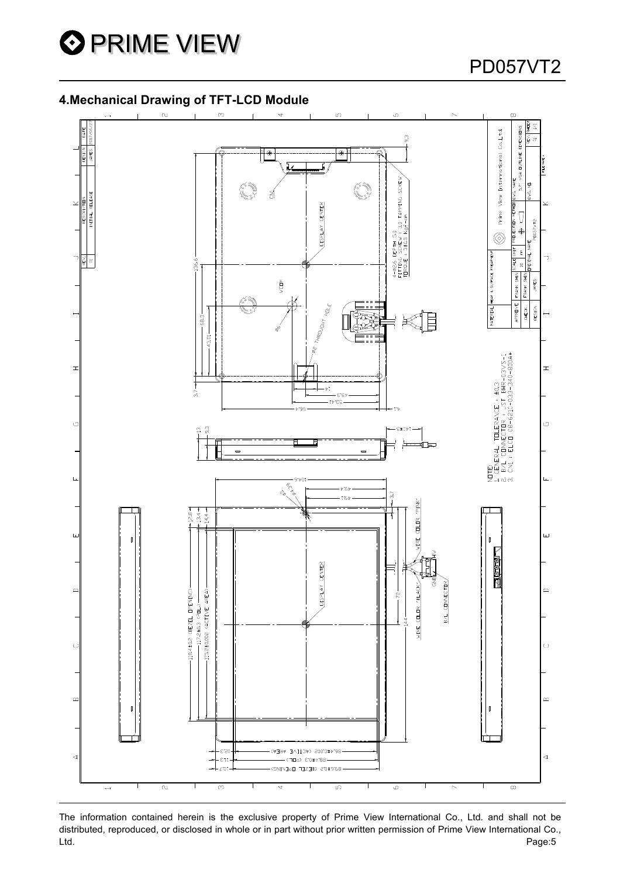

### PD057VT2

#### 4.Mechanical Drawing of TFT-LCD Module



The information contained herein is the exclusive property of Prime View International Co., Ltd. and shall not be distributed, reproduced, or disclosed in whole or in part without prior written permission of Prime View International Co., Ltd. Page:5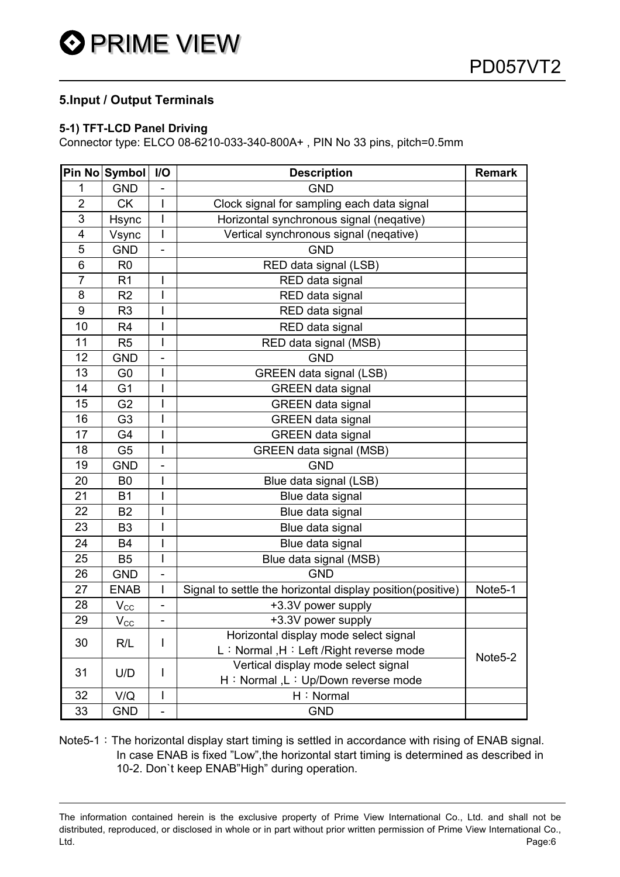#### 5.Input / Output Terminals

#### 5-1) TFT-LCD Panel Driving

Connector type: ELCO 08-6210-033-340-800A+ , PIN No 33 pins, pitch=0.5mm

|                | Pin No Symbol              | I/O                      | <b>Description</b>                                         | <b>Remark</b>       |
|----------------|----------------------------|--------------------------|------------------------------------------------------------|---------------------|
| 1              | <b>GND</b>                 |                          | <b>GND</b>                                                 |                     |
| $\overline{2}$ | <b>CK</b>                  | I                        | Clock signal for sampling each data signal                 |                     |
| 3              | Hsync                      | I                        | Horizontal synchronous signal (neqative)                   |                     |
| 4              | Vsync                      | $\overline{\phantom{a}}$ | Vertical synchronous signal (negative)                     |                     |
| 5              | <b>GND</b>                 | $\overline{\phantom{0}}$ | <b>GND</b>                                                 |                     |
| 6              | R <sub>0</sub>             |                          | RED data signal (LSB)                                      |                     |
| $\overline{7}$ | R <sub>1</sub>             | I                        | RED data signal                                            |                     |
| 8              | R <sub>2</sub>             | Ī                        | RED data signal                                            |                     |
| 9              | R <sub>3</sub>             |                          | RED data signal                                            |                     |
| 10             | R <sub>4</sub>             | I                        | RED data signal                                            |                     |
| 11             | R <sub>5</sub>             |                          | RED data signal (MSB)                                      |                     |
| 12             | <b>GND</b>                 | $\overline{a}$           | <b>GND</b>                                                 |                     |
| 13             | G <sub>0</sub>             | I                        | <b>GREEN data signal (LSB)</b>                             |                     |
| 14             | G <sub>1</sub>             | I                        | <b>GREEN</b> data signal                                   |                     |
| 15             | G <sub>2</sub>             | I                        | <b>GREEN</b> data signal                                   |                     |
| 16             | G <sub>3</sub>             | I                        | <b>GREEN</b> data signal                                   |                     |
| 17             | G4                         |                          | <b>GREEN</b> data signal                                   |                     |
| 18             | G <sub>5</sub>             | I                        | <b>GREEN data signal (MSB)</b>                             |                     |
| 19             | <b>GND</b>                 |                          | <b>GND</b>                                                 |                     |
| 20             | B <sub>0</sub>             |                          | Blue data signal (LSB)                                     |                     |
| 21             | <b>B1</b>                  |                          | Blue data signal                                           |                     |
| 22             | <b>B2</b>                  |                          | Blue data signal                                           |                     |
| 23             | B <sub>3</sub>             | I                        | Blue data signal                                           |                     |
| 24             | <b>B4</b>                  | I                        | Blue data signal                                           |                     |
| 25             | B <sub>5</sub>             | I                        | Blue data signal (MSB)                                     |                     |
| 26             | <b>GND</b>                 | $\overline{a}$           | <b>GND</b>                                                 |                     |
| 27             | <b>ENAB</b>                | $\overline{\phantom{a}}$ | Signal to settle the horizontal display position(positive) | Note5-1             |
| 28             | $\mathsf{V}_{\mathsf{CC}}$ | $\overline{\phantom{0}}$ | +3.3V power supply                                         |                     |
| 29             | $V_{\rm CC}$               | $\overline{a}$           | +3.3V power supply                                         |                     |
|                |                            |                          | Horizontal display mode select signal                      |                     |
| 30             | R/L                        | I                        | L: Normal, H: Left / Right reverse mode                    | Note <sub>5-2</sub> |
| 31             |                            | I                        | Vertical display mode select signal                        |                     |
|                | U/D                        |                          | H: Normal, L: Up/Down reverse mode                         |                     |
| 32             | V/Q                        | I                        | H: Normal                                                  |                     |
| 33             | <b>GND</b>                 | $\overline{a}$           | <b>GND</b>                                                 |                     |

Note5-1: The horizontal display start timing is settled in accordance with rising of ENAB signal. In case ENAB is fixed "Low",the horizontal start timing is determined as described in 10-2. Don`t keep ENAB"High" during operation.

The information contained herein is the exclusive property of Prime View International Co., Ltd. and shall not be distributed, reproduced, or disclosed in whole or in part without prior written permission of Prime View International Co., Ltd. Page:6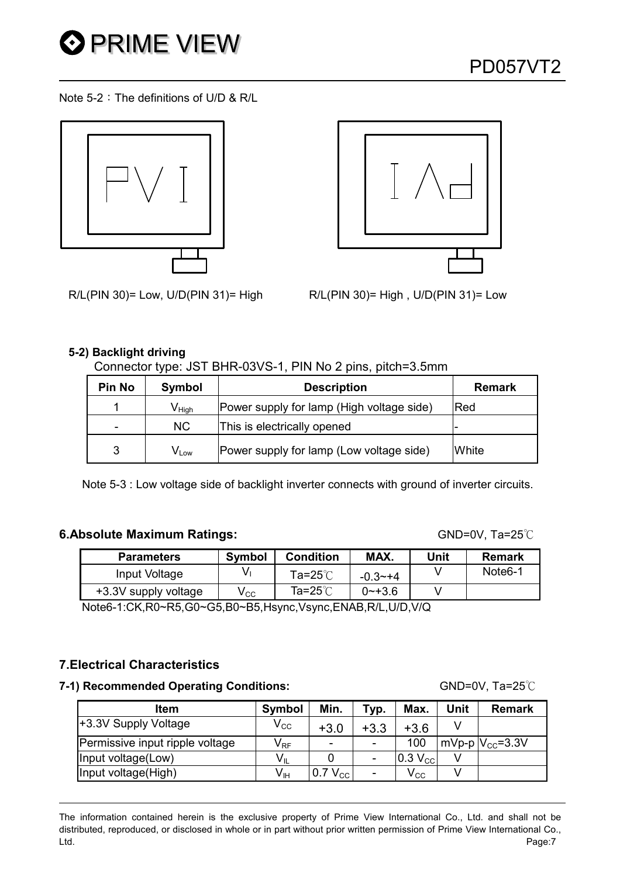

Note 5-2: The definitions of U/D & R/L





R/L(PIN 30)= Low, U/D(PIN 31)= High R/L(PIN 30)= High , U/D(PIN 31)= Low

#### 5-2) Backlight driving

#### Connector type: JST BHR-03VS-1, PIN No 2 pins, pitch=3.5mm

| <b>Pin No</b> | Symbol                       | <b>Description</b>                        | <b>Remark</b> |
|---------------|------------------------------|-------------------------------------------|---------------|
|               | $\mathsf{V}_{\mathsf{High}}$ | Power supply for lamp (High voltage side) | Red           |
| -             | NC.                          | This is electrically opened               |               |
| 3             | $\mathsf{V}_{\mathsf{Low}}$  | Power supply for lamp (Low voltage side)  | White         |

Note 5-3 : Low voltage side of backlight inverter connects with ground of inverter circuits.

#### 6.Absolute Maximum Ratings: GND=0V, Ta=25°C

| Parameters           | <b>Symbol</b> | <b>Condition</b> | MAX.        | Unit | <b>Remark</b>        |
|----------------------|---------------|------------------|-------------|------|----------------------|
| Input Voltage        |               | Ta=25 $°C$       | $-0.3 - +4$ |      | Note <sub>6</sub> -1 |
| +3.3V supply voltage | V CC          | Ta=25℃           | $2 - +3.6$  |      |                      |

Note6-1:CK,R0~R5,G0~G5,B0~B5,Hsync,Vsync,ENAB,R/L,U/D,V/Q

#### 7.Electrical Characteristics

#### **7-1) Recommended Operating Conditions:** GND=0V, Ta=25<sup>°</sup>C

Item | Symbol | Min. | Typ. | Max. | Unit | Remark +3.3V Supply Voltage  $\begin{array}{|c|c|c|c|c|c|}\n\hline\n&\text{V}_{\text{CC}} & \text{+3.0} & \text{+3.3} & \text{+3.6} & \text{V} \\
\hline\n\end{array}$ Permissive input ripple voltage  $|V_{RF}| - | - | - 100 |mVp-p|V_{CC} = 3.3V$ Input voltage(Low)  $V_{\parallel}$  | 0 | -  $\vert 0.3 V_{\odot} \vert$  V Input voltage(High)  $V_{\text{IH}}$  | 0.7 V<sub>CC</sub> | - | V<sub>CC</sub> | V

The information contained herein is the exclusive property of Prime View International Co., Ltd. and shall not be distributed, reproduced, or disclosed in whole or in part without prior written permission of Prime View International Co., Ltd. Page:7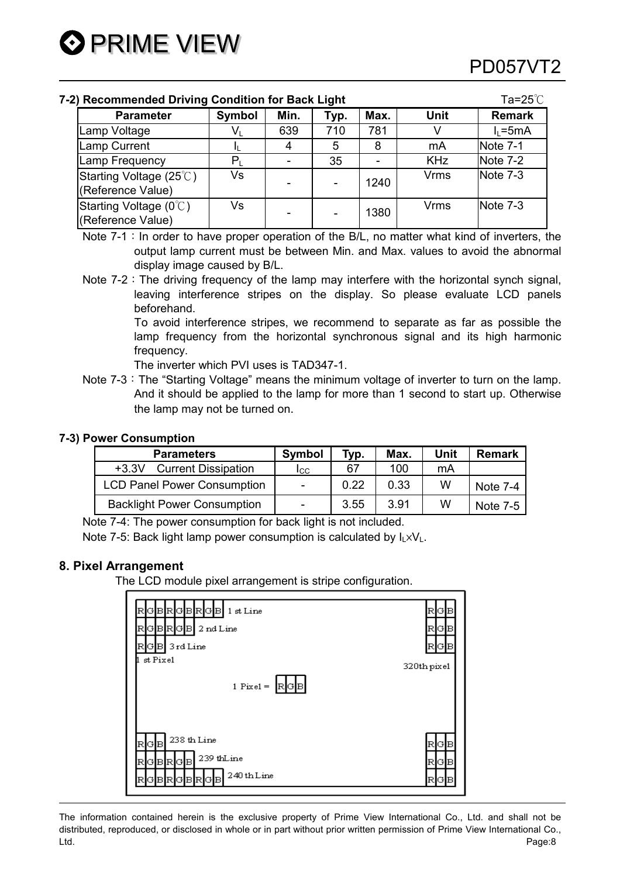#### **7-2) Recommended Driving Condition for Back Light Tangle Condition for Back Light Tangle Tangle Tangle Tangle Ta**

| , NOVOIIIIIIVIIVOU DITVIIIV VOIIUNIVII IVI DUVN EIVIIN |        |      |      |      |             |               |  |  |  |  |
|--------------------------------------------------------|--------|------|------|------|-------------|---------------|--|--|--|--|
| <b>Parameter</b>                                       | Symbol | Min. | Typ. | Max. | <b>Unit</b> | <b>Remark</b> |  |  |  |  |
| Lamp Voltage                                           | V١     | 639  | 710  | 781  |             | $I_1 = 5mA$   |  |  |  |  |
| <b>Lamp Current</b>                                    |        | 4    | 5    | 8    | mA          | Note 7-1      |  |  |  |  |
| Lamp Frequency                                         |        |      | 35   |      | <b>KHz</b>  | Note 7-2      |  |  |  |  |
| Starting Voltage (25°C)<br>(Reference Value)           | Vs     |      |      | 1240 | <b>Vrms</b> | Note 7-3      |  |  |  |  |
| Starting Voltage (0°C)<br>(Reference Value)            | Vs     |      |      | 1380 | <b>Vrms</b> | Note 7-3      |  |  |  |  |

Note  $7-1$ : In order to have proper operation of the B/L, no matter what kind of inverters, the output lamp current must be between Min. and Max. values to avoid the abnormal display image caused by B/L.

Note  $7-2$ : The driving frequency of the lamp may interfere with the horizontal synch signal, leaving interference stripes on the display. So please evaluate LCD panels beforehand.

> To avoid interference stripes, we recommend to separate as far as possible the lamp frequency from the horizontal synchronous signal and its high harmonic frequency.

The inverter which PVI uses is TAD347-1.

Note 7-3: The "Starting Voltage" means the minimum voltage of inverter to turn on the lamp. And it should be applied to the lamp for more than 1 second to start up. Otherwise the lamp may not be turned on.

#### 7-3) Power Consumption

| <b>Parameters</b>                     | <b>Symbol</b> | Typ. | Max. | Unit | <b>Remark</b> |
|---------------------------------------|---------------|------|------|------|---------------|
| <b>Current Dissipation</b><br>$+3.3V$ | Icc           | 67   | 100  | mA   |               |
| <b>LCD Panel Power Consumption</b>    | $\sim$        | 0.22 | 0.33 | w    | Note 7-4      |
| <b>Backlight Power Consumption</b>    | -             | 3.55 | 3.91 | w    | Note 7-5      |

Note 7-4: The power consumption for back light is not included.

Note 7-5: Back light lamp power consumption is calculated by  $I_L \times V_L$ .

#### 8. Pixel Arrangement

The LCD module pixel arrangement is stripe configuration.

| GBRGBRGBL<br>1 st Line<br>2 nd Line<br>GBRGBL<br>R<br>GB 3rd Line<br>RI         | RI<br> G B<br>GIB<br>R<br>G.<br>R |
|---------------------------------------------------------------------------------|-----------------------------------|
| st Pixel<br>1 Pixel = $\left  \mathbb{R} \right $ G $\left  \mathbb{B} \right $ | 320th pixel                       |
| 238 th Line<br>RGB<br>239 thLine<br>GBRGB<br>R<br>240th Line<br>G.<br>BRI<br>IB | GIB<br>RI<br>GIB<br>R             |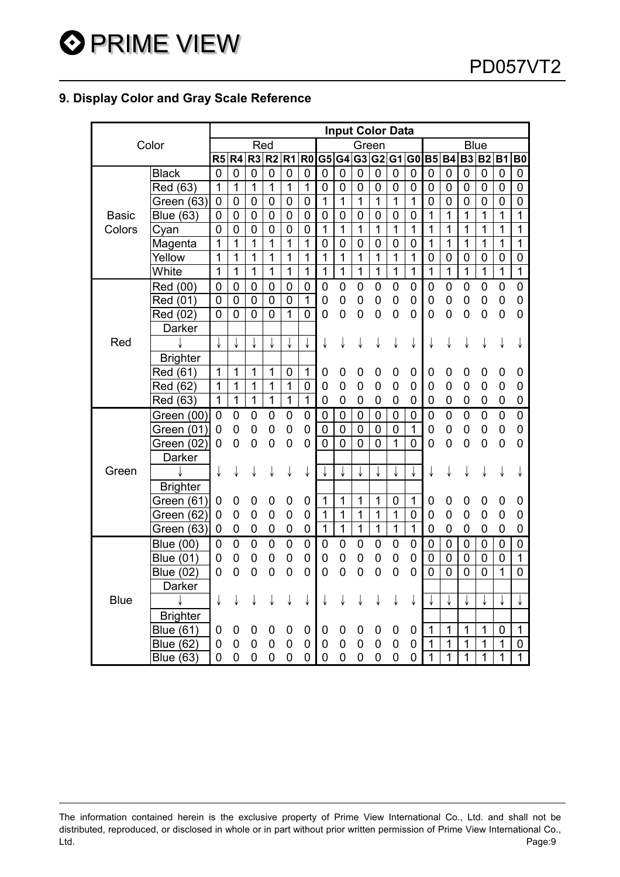#### 9. Display Color and Gray Scale Reference

|              |                  |                |                |                  |                |                |                |                |                |                | <b>Input Color Data</b> |                |                |                |                |                |                |                |                  |
|--------------|------------------|----------------|----------------|------------------|----------------|----------------|----------------|----------------|----------------|----------------|-------------------------|----------------|----------------|----------------|----------------|----------------|----------------|----------------|------------------|
|              | Color            |                |                | Red              |                |                |                |                |                | Green          |                         |                |                |                |                | <b>Blue</b>    |                |                |                  |
|              |                  | R5             | R <sub>4</sub> |                  | $R3$ $R2$      | R <sub>1</sub> | R <sub>0</sub> | G5 G4          |                |                | G3 G2 G1                |                | G <sub>0</sub> | <b>B5</b>      | <b>B4</b>      | <b>B3</b>      | <b>B2</b> B1   |                | B <sub>0</sub>   |
|              | <b>Black</b>     | 0              | 0              | 0                | $\mathbf 0$    | 0              | 0              | 0              | $\mathbf 0$    | $\mathbf 0$    | $\mathbf 0$             | $\mathbf 0$    | $\mathbf 0$    | 0              | 0              | 0              | 0              | 0              | $\boldsymbol{0}$ |
|              | Red (63)         | $\mathbf{1}$   | $\mathbf{1}$   | 1                | 1              | 1              | 1              | 0              | $\mathbf 0$    | $\mathbf 0$    | 0                       | $\mathbf 0$    | 0              | 0              | $\mathbf 0$    | 0              | 0              | 0              | $\mathbf 0$      |
|              | Green (63)       | 0              | 0              | $\mathbf 0$      | $\mathbf 0$    | 0              | 0              | 1              | 1              | 1              | 1                       | 1              | 1              | $\mathbf 0$    | $\mathbf 0$    | 0              | 0              | 0              | $\overline{0}$   |
| <b>Basic</b> | <b>Blue (63)</b> | 0              | 0              | $\mathbf 0$      | $\mathbf 0$    | $\overline{0}$ | $\overline{0}$ | $\mathbf 0$    | $\mathbf 0$    | $\mathbf 0$    | $\overline{0}$          | $\mathbf 0$    | $\mathbf 0$    | 1              | 1              | $\overline{1}$ | 1              | 1              | 1                |
| Colors       | Cyan             | 0              | 0              | $\mathbf 0$      | $\mathbf 0$    | 0              | $\mathsf 0$    | $\overline{1}$ | $\overline{1}$ | 1              | $\overline{1}$          | $\mathbf{1}$   | $\overline{1}$ | 1              | 1              | 1              | 1              | 1              | 1                |
|              | Magenta          | $\overline{1}$ | $\overline{1}$ | $\overline{1}$   | $\overline{1}$ | $\overline{1}$ | $\overline{1}$ | $\overline{0}$ | $\overline{0}$ | $\overline{0}$ | $\overline{0}$          | 0              | $\overline{0}$ | 1              | $\overline{1}$ | 1              | 1              | 1              | 1                |
|              | Yellow           | 1              | 1              | 1                | 1              | 1              | $\mathbf{1}$   | 1              | $\mathbf{1}$   | 1              | $\mathbf{1}$            | 1              | 1              | $\mathbf 0$    | $\mathbf 0$    | 0              | 0              | $\mathbf 0$    | $\overline{0}$   |
|              | White            | 1              | $\mathbf{1}$   | 1                | $\mathbf{1}$   | 1              | $\mathbf{1}$   | 1              | $\mathbf{1}$   | $\mathbf{1}$   | $\overline{1}$          | 1              | $\mathbf{1}$   | 1              | $\overline{1}$ | $\mathbf{1}$   | $\overline{1}$ | $\mathbf 1$    | $\overline{1}$   |
|              | Red (00)         | 0              | $\mathbf 0$    | $\mathbf 0$      | $\mathbf 0$    | 0              | 0              | $\mathbf 0$    | $\mathbf 0$    | $\mathbf 0$    | 0                       | 0              | $\mathbf 0$    | $\mathbf 0$    | $\mathbf 0$    | 0              | 0              | $\mathbf 0$    | $\mathbf 0$      |
|              | Red (01)         | 0              | $\mathbf 0$    | $\mathbf 0$      | $\mathbf 0$    | 0              | $\mathbf{1}$   | 0              | $\mathbf 0$    | $\overline{0}$ | $\overline{0}$          | $\mathbf 0$    | $\overline{0}$ | $\mathbf 0$    | $\mathbf 0$    | $\mathbf 0$    | $\overline{0}$ | 0              | $\mathbf 0$      |
|              | Red (02)         | $\overline{0}$ | $\overline{0}$ | $\overline{0}$   | $\overline{0}$ | 1              | $\overline{0}$ | $\mathbf 0$    | $\overline{0}$ | $\overline{0}$ | $\overline{0}$          | 0              | 0              | $\overline{0}$ | $\overline{0}$ | $\overline{0}$ | 0              | 0              | 0                |
|              | Darker           |                |                |                  |                |                |                |                |                |                |                         |                |                |                |                |                |                |                |                  |
| Red          |                  |                |                |                  |                |                |                | ↓              | ↓              | ↓              | ↓                       | ↓              | ↓              | ↓              | ↓              | ↓              | ↓              | ↓              | ↓                |
|              | <b>Brighter</b>  |                |                |                  |                |                |                |                |                |                |                         |                |                |                |                |                |                |                |                  |
|              | Red (61)         | $\mathbf{1}$   | 1              | 1                | 1              | 0              | 1              | 0              | $\pmb{0}$      | $\mathbf 0$    | $\mathbf 0$             | 0              | $\mathbf 0$    | $\mathbf 0$    | $\mathbf 0$    | 0              | 0              | 0              | $\mathbf 0$      |
|              | Red (62)         | $\mathbf{1}$   | $\mathbf 1$    | 1                | 1              | $\mathbf{1}$   | $\overline{0}$ | $\mathbf 0$    | $\mathbf 0$    | $\overline{0}$ | $\overline{0}$          | $\mathbf 0$    | 0              | $\mathbf 0$    | 0              | $\mathbf 0$    | 0              | 0              | 0                |
|              | Red (63)         | $\overline{1}$ | $\mathbf{1}$   | $\mathbf{1}$     | $\mathbf{1}$   | $\mathbf{1}$   | $\overline{1}$ | $\mathbf 0$    | $\mathbf 0$    | $\mathbf 0$    | 0                       | 0              | $\mathsf 0$    | $\mathbf 0$    | $\mathbf 0$    | 0              | 0              | 0              | $\boldsymbol{0}$ |
|              | Green (00)       | $\mathbf 0$    | 0              | 0                | 0              | 0              | 0              | $\mathbf 0$    | $\mathbf 0$    | $\mathbf 0$    | $\mathbf 0$             | $\mathbf 0$    | $\mathbf 0$    | $\overline{0}$ | $\overline{0}$ | $\overline{0}$ | $\overline{0}$ | $\overline{0}$ | $\overline{0}$   |
|              | Green (01)       | 0              | 0              | 0                | $\mathbf 0$    | 0              | 0              | $\mathbf 0$    | $\mathbf 0$    | $\mathbf 0$    | $\mathbf 0$             | $\mathbf 0$    | $\overline{1}$ | $\mathbf 0$    | $\mathbf 0$    | 0              | 0              | 0              | 0                |
|              | Green (02)       | 0              | 0              | $\mathbf 0$      | $\mathbf 0$    | 0              | 0              | 0              | $\overline{0}$ | 0              | 0                       | 1              | 0              | $\overline{0}$ | 0              | 0              | 0              | 0              | 0                |
|              | Darker           |                |                |                  |                |                |                |                |                |                |                         |                |                |                |                |                |                |                |                  |
| Green        |                  | ↓              | ↓              | ↓                | ↓              | ↓              | ↓              |                | ↓              |                |                         | ↓              | ↓              | ↓              | ↓              | ↓              | ↓              | ↓              | ↓                |
|              | <b>Brighter</b>  |                |                |                  |                |                |                |                |                |                |                         |                |                |                |                |                |                |                |                  |
|              | Green (61)       | 0              | 0              | 0                | $\pmb{0}$      | 0              | 0              | 1              | 1              | 1              | 1                       | 0              | 1              | 0              | 0              | 0              | 0              | 0              | 0                |
|              | Green (62)       | 0              | 0              | $\mathbf 0$      | $\mathbf 0$    | 0              | 0              | 1              | 1              | 1              | 1                       | 1              | $\mathbf 0$    | 0              | 0              | 0              | 0              | 0              | $\mathbf 0$      |
|              | Green (63)       | 0              | 0              | 0                | 0              | 0              | 0              | $\mathbf{1}$   | $\mathbf 1$    | $\mathbf{1}$   | $\mathbf{1}$            | $\mathbf{1}$   | $\mathbf{1}$   | 0              | $\mathbf 0$    | 0              | 0              | 0              | 0                |
|              | <b>Blue (00)</b> | $\overline{0}$ | $\mathbf 0$    | $\boldsymbol{0}$ | $\pmb{0}$      | $\mathsf 0$    | $\mathbf 0$    | $\mathbf 0$    | 0              | $\mathbf 0$    | 0                       | 0              | 0              | $\mathbf 0$    | $\mathbf 0$    | $\mathbf 0$    | $\mathbf 0$    | $\mathbf 0$    | $\mathbf 0$      |
|              | Blue (01)        | 0              | 0              | 0                | 0              | 0              | 0              | 0              | 0              | $\mathbf 0$    | 0                       | 0              | 0              | 0              | $\mathbf 0$    | 0              | 0              | $\mathbf 0$    | $\mathbf{1}$     |
|              | <b>Blue (02)</b> | 0              | 0              | 0                | $\mathbf 0$    | 0              | $\overline{0}$ | 0              | $\mathbf 0$    | $\overline{0}$ | $\overline{0}$          | 0              | 0              | $\overline{0}$ | $\overline{0}$ | 0              | $\overline{0}$ | 1              | $\overline{0}$   |
|              | Darker           |                |                |                  |                |                |                |                |                |                |                         |                |                |                |                |                |                |                |                  |
| <b>Blue</b>  |                  | ↓              | ↓              | ↓                | ↓              | ↓              | ↓              | ↓              | ↓              | ↓              | ↓                       | ↓              | ↓              | ↓              |                |                |                |                |                  |
|              | <b>Brighter</b>  |                |                |                  |                |                |                |                |                |                |                         |                |                |                |                |                |                |                |                  |
|              | <b>Blue (61)</b> | 0              | 0              | 0                | 0              | 0              | 0              | 0              | 0              | 0              | 0                       | 0              | 0              | 1              | 1              | 1              | 1              | 0              | $\mathbf 1$      |
|              | <b>Blue (62)</b> | 0              | 0              | 0                | 0              | 0              | 0              | 0              | 0              | $\mathbf 0$    | 0                       | 0              | 0              | 1              | 1              | 1              | 1              | 1              | $\mathbf 0$      |
|              | <b>Blue (63)</b> | 0              | 0              | 0                | 0              | 0              | 0              | $\mathbf 0$    | $\mathbf 0$    | $\mathbf 0$    | $\overline{0}$          | $\overline{0}$ | 0              | $\overline{1}$ | 1              | 1              | $\overline{1}$ | 1              | $\overline{1}$   |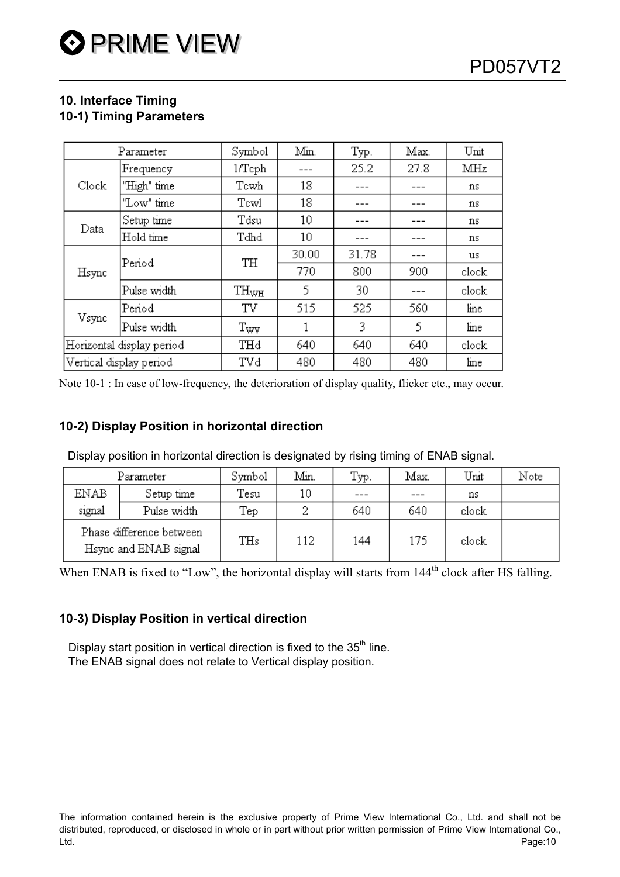#### 10. Interface Timing 10-1) Timing Parameters

|       | Parameter                 | Symbol           | Min.            | Typ.  | Max. | Unit  |
|-------|---------------------------|------------------|-----------------|-------|------|-------|
|       | Frequency                 | $1/\text{Tcph}$  |                 | 25.2  | 27.8 | MHz   |
| Clock | "High" time               | Tcwh             | 18              |       |      | ns    |
|       | "Low" time                | Tcwl             | 18              | ---   | ---  | ns    |
| Data  | Setup time                | Tdsu             | $10\,$          |       |      | ns    |
|       | Hold time                 | Tdhd             | 10 <sup>°</sup> |       |      | ns    |
|       | Period                    | TH               | 30.00           | 31.78 |      | us    |
| Hsync |                           |                  | 770             | 800   | 900  | clock |
|       | Pulse width               | $\rm TH_{WH}$    | 5               | 30    |      | clock |
|       | Period                    | TV               | 515             | 525   | 560  | line  |
| Vsync | Pulse width               | $\rm T_{\rm WV}$ |                 | 3     | 5    | line  |
|       | Horizontal display period | THd              | 640             | 640   | 640  | clock |
|       | Vertical display period   | TVd              | 480             | 480   | 480  | line  |

Note 10-1 : In case of low-frequency, the deterioration of display quality, flicker etc., may occur.

#### 10-2) Display Position in horizontal direction

Display position in horizontal direction is designated by rising timing of ENAB signal.

| Parameter                                         |             | Symbol | Мiп. | Typ. | Max. | Unit  | Note |
|---------------------------------------------------|-------------|--------|------|------|------|-------|------|
| ENAB                                              | Setup time  | Tesu   | 10   |      |      | ns    |      |
| signal                                            | Pulse width | Tep    |      | 640  | 640  | clock |      |
| Phase difference between<br>Hsync and ENAB signal |             | THs    | 112  | 144  | 175  | clock |      |

When ENAB is fixed to "Low", the horizontal display will starts from 144<sup>th</sup> clock after HS falling.

#### 10-3) Display Position in vertical direction

Display start position in vertical direction is fixed to the  $35<sup>th</sup>$  line. The ENAB signal does not relate to Vertical display position.

The information contained herein is the exclusive property of Prime View International Co., Ltd. and shall not be distributed, reproduced, or disclosed in whole or in part without prior written permission of Prime View International Co., Ltd. Page:10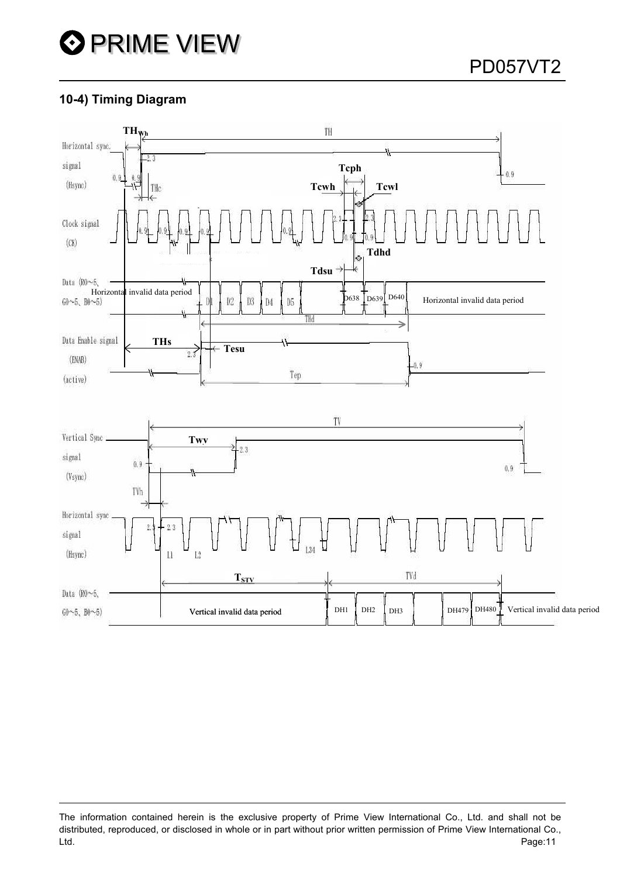#### 10-4) Timing Diagram



The information contained herein is the exclusive property of Prime View International Co., Ltd. and shall not be distributed, reproduced, or disclosed in whole or in part without prior written permission of Prime View International Co., Ltd. Page:11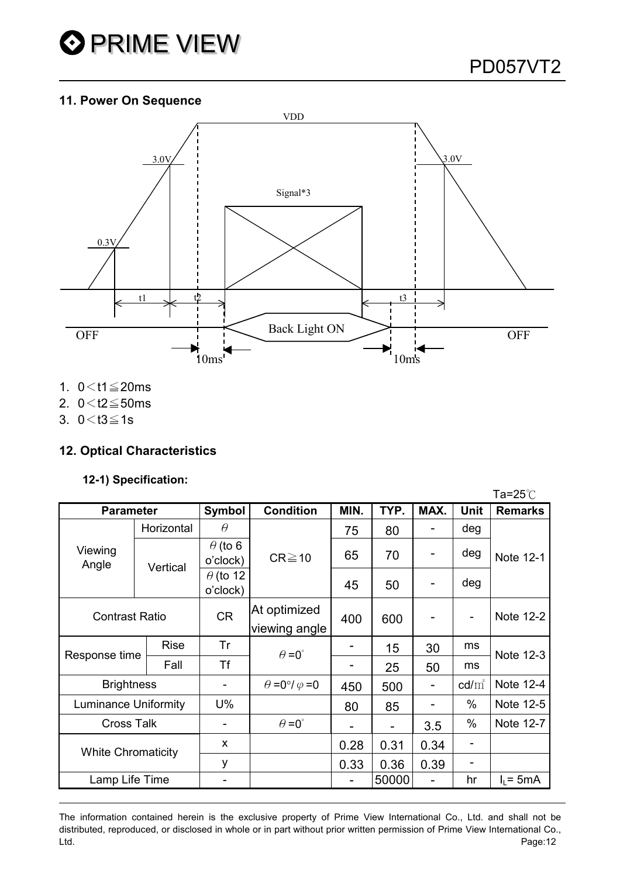

#### 11. Power On Sequence



- 1.  $0 < t1 \leq 20$ ms
- 2.  $0 < t2 \le 50$ ms
- 3.  $0 < t3 \le 1s$

#### 12. Optical Characteristics

#### 12-1) Specification:

|                             |             |                             |                                  |      |       |      |                          | Ta=25 $^\circ\!{\rm C}$ |
|-----------------------------|-------------|-----------------------------|----------------------------------|------|-------|------|--------------------------|-------------------------|
| <b>Parameter</b>            |             | Symbol                      | <b>Condition</b>                 | MIN. | TYP.  | MAX. | <b>Unit</b>              | <b>Remarks</b>          |
| Viewing<br>Angle            | Horizontal  | $\theta$                    | $CR \ge 10$                      | 75   | 80    |      | deg                      | Note 12-1               |
|                             | Vertical    | $\theta$ (to 6<br>o'clock)  |                                  | 65   | 70    |      | deg                      |                         |
|                             |             | $\theta$ (to 12<br>o'clock) |                                  | 45   | 50    | -    | deg                      |                         |
| <b>Contrast Ratio</b>       |             | <b>CR</b>                   | At optimized<br>viewing angle    | 400  | 600   |      | $\overline{\phantom{a}}$ | Note 12-2               |
| Response time               | <b>Rise</b> | Tr                          | $\theta = 0^{\circ}$             |      | 15    | 30   | ms                       | Note 12-3               |
|                             | Fall        | Τf                          |                                  |      | 25    | 50   | ms                       |                         |
| <b>Brightness</b>           |             | -                           | $\theta = 0^{\circ}/\varphi = 0$ | 450  | 500   | -    | $\text{cd/m}^2$          | Note 12-4               |
| <b>Luminance Uniformity</b> |             | $U\%$                       |                                  | 80   | 85    |      | $\%$                     | Note 12-5               |
| <b>Cross Talk</b>           |             |                             | $\theta = 0^{\circ}$             |      |       | 3.5  | $\%$                     | Note 12-7               |
| <b>White Chromaticity</b>   |             | X                           |                                  | 0.28 | 0.31  | 0.34 |                          |                         |
|                             |             | y                           |                                  | 0.33 | 0.36  | 0.39 | ٠                        |                         |
| Lamp Life Time              |             | -                           |                                  | -    | 50000 |      | hr                       | $I_1 = 5mA$             |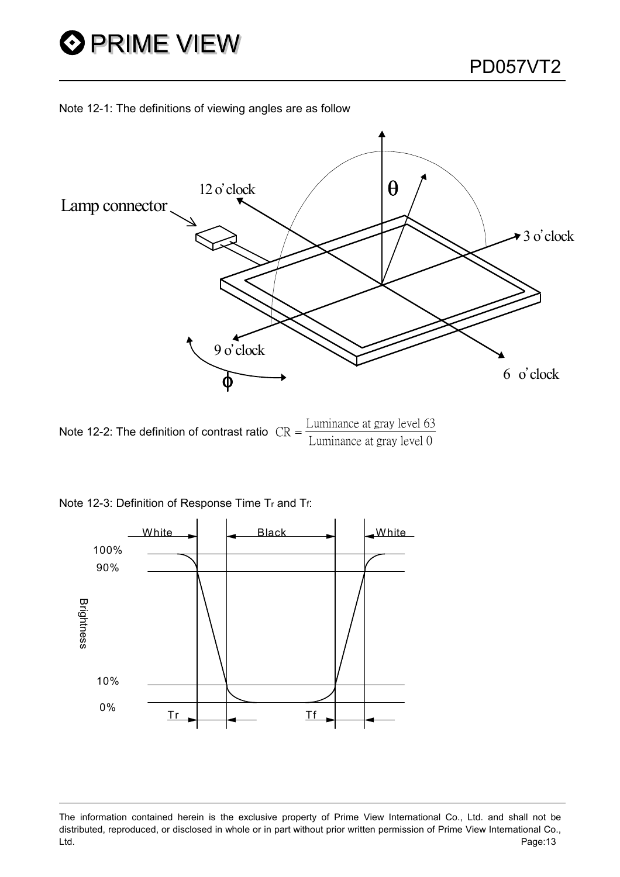



Note 12-2: The definition of contrast ratio  $CR =$ Luminance at gray level 63<br>
Luminance at gray level 0





The information contained herein is the exclusive property of Prime View International Co., Ltd. and shall not be distributed, reproduced, or disclosed in whole or in part without prior written permission of Prime View International Co., Ltd. Page:13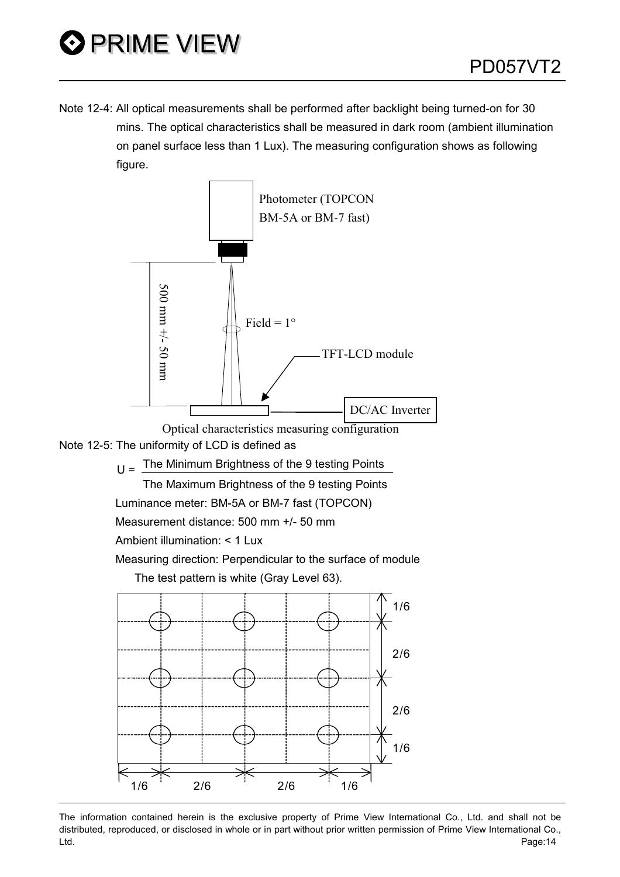Note 12-4: All optical measurements shall be performed after backlight being turned-on for 30 mins. The optical characteristics shall be measured in dark room (ambient illumination on panel surface less than 1 Lux). The measuring configuration shows as following figure.





 $U =$  The Minimum Brightness of the 9 testing Points

The Maximum Brightness of the 9 testing Points

Luminance meter: BM-5A or BM-7 fast (TOPCON)

Measurement distance: 500 mm +/- 50 mm

Ambient illumination: < 1 Lux

Measuring direction: Perpendicular to the surface of module

The test pattern is white (Gray Level 63).



The information contained herein is the exclusive property of Prime View International Co., Ltd. and shall not be distributed, reproduced, or disclosed in whole or in part without prior written permission of Prime View International Co., Ltd. Page:14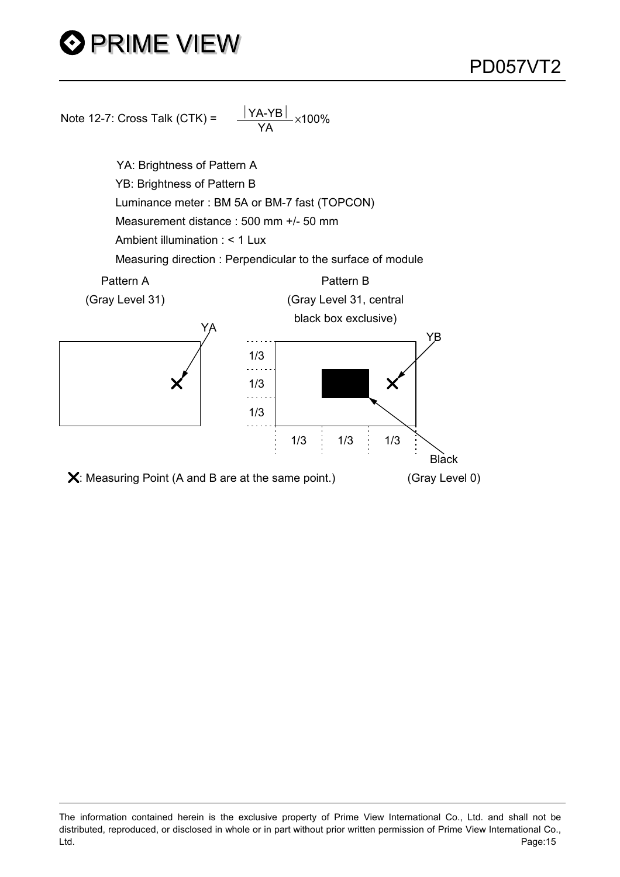# **O PRIME VIEW**



The information contained herein is the exclusive property of Prime View International Co., Ltd. and shall not be distributed, reproduced, or disclosed in whole or in part without prior written permission of Prime View International Co., Ltd. Page:15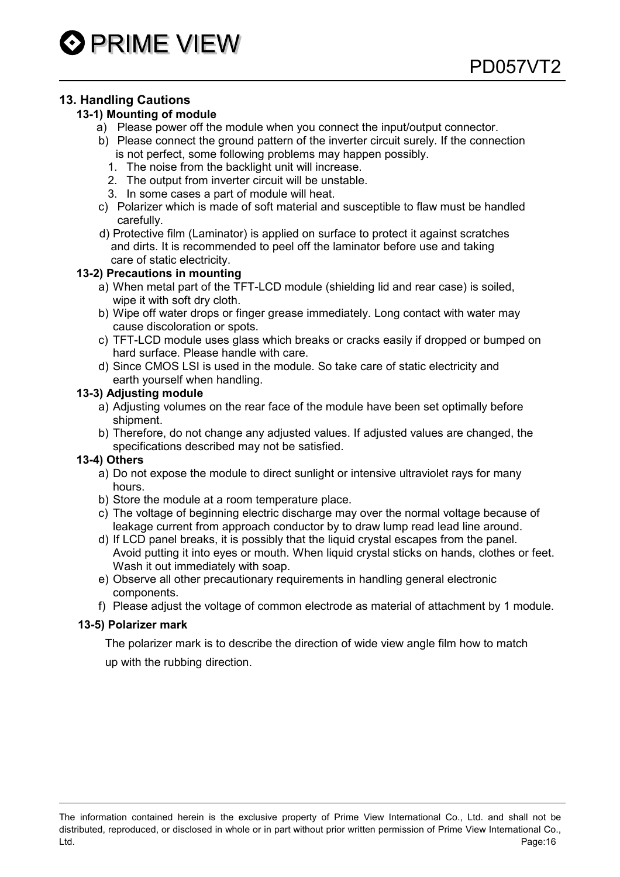#### 13. Handling Cautions

#### 13-1) Mounting of module

- a) Please power off the module when you connect the input/output connector.
- b) Please connect the ground pattern of the inverter circuit surely. If the connection is not perfect, some following problems may happen possibly.
	- 1. The noise from the backlight unit will increase.
	- 2. The output from inverter circuit will be unstable.
	- 3. In some cases a part of module will heat.
- c) Polarizer which is made of soft material and susceptible to flaw must be handled carefully.
- d) Protective film (Laminator) is applied on surface to protect it against scratches and dirts. It is recommended to peel off the laminator before use and taking care of static electricity.

#### 13-2) Precautions in mounting

- a) When metal part of the TFT-LCD module (shielding lid and rear case) is soiled, wipe it with soft dry cloth.
- b) Wipe off water drops or finger grease immediately. Long contact with water may cause discoloration or spots.
- c) TFT-LCD module uses glass which breaks or cracks easily if dropped or bumped on hard surface. Please handle with care.
- d) Since CMOS LSI is used in the module. So take care of static electricity and earth yourself when handling.

#### 13-3) Adjusting module

- a) Adjusting volumes on the rear face of the module have been set optimally before shipment.
- b) Therefore, do not change any adjusted values. If adjusted values are changed, the specifications described may not be satisfied.

#### 13-4) Others

- a) Do not expose the module to direct sunlight or intensive ultraviolet rays for many hours.
- b) Store the module at a room temperature place.
- c) The voltage of beginning electric discharge may over the normal voltage because of leakage current from approach conductor by to draw lump read lead line around.
- d) If LCD panel breaks, it is possibly that the liquid crystal escapes from the panel. Avoid putting it into eyes or mouth. When liquid crystal sticks on hands, clothes or feet. Wash it out immediately with soap.
- e) Observe all other precautionary requirements in handling general electronic components.
- f) Please adjust the voltage of common electrode as material of attachment by 1 module.

#### 13-5) Polarizer mark

 The polarizer mark is to describe the direction of wide view angle film how to match up with the rubbing direction.

The information contained herein is the exclusive property of Prime View International Co., Ltd. and shall not be distributed, reproduced, or disclosed in whole or in part without prior written permission of Prime View International Co., Ltd. Page:16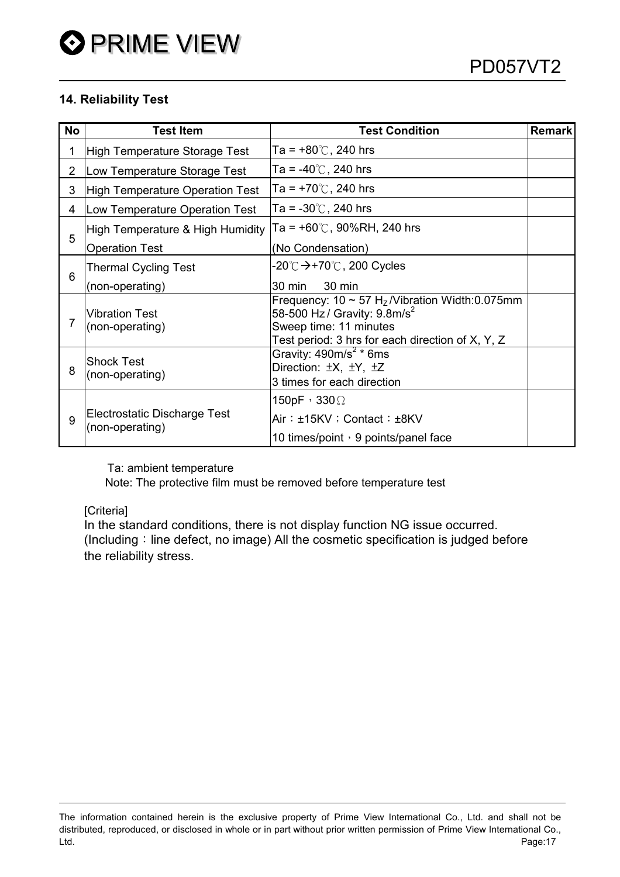#### 14. Reliability Test

| <b>No</b>      | <b>Test Item</b>                                | <b>Test Condition</b>                                                                                                                                                                    | <b>Remark</b> |
|----------------|-------------------------------------------------|------------------------------------------------------------------------------------------------------------------------------------------------------------------------------------------|---------------|
| 1              | High Temperature Storage Test                   | Ta = $+80^{\circ}$ C, 240 hrs                                                                                                                                                            |               |
| $\overline{2}$ | Low Temperature Storage Test                    | Ta = -40℃, 240 hrs                                                                                                                                                                       |               |
| 3              | High Temperature Operation Test                 | Ta = $+70^{\circ}$ C, 240 hrs                                                                                                                                                            |               |
| 4              | Low Temperature Operation Test                  | Ta = $-30^{\circ}$ C, 240 hrs                                                                                                                                                            |               |
|                | High Temperature & High Humidity                | Ta = $+60^{\circ}$ C, 90%RH, 240 hrs                                                                                                                                                     |               |
| 5              | <b>Operation Test</b>                           | (No Condensation)                                                                                                                                                                        |               |
|                | Thermal Cycling Test                            | -20℃ <del>&gt;</del> +70℃, 200 Cycles                                                                                                                                                    |               |
| 6              | (non-operating)                                 | 30 min<br>30 min                                                                                                                                                                         |               |
|                | <b>Vibration Test</b><br>(non-operating)        | Frequency: $10 \sim 57$ H <sub>z</sub> /Vibration Width:0.075mm<br>58-500 Hz / Gravity: $9.8 \text{m/s}^2$<br>Sweep time: 11 minutes<br>Test period: 3 hrs for each direction of X, Y, Z |               |
| 8              | Shock Test<br>(non-operating)                   | Gravity: $490m/s^2$ * 6ms<br>Direction: ±X, ±Y, ±Z<br>3 times for each direction                                                                                                         |               |
| 9              | Electrostatic Discharge Test<br>(non-operating) | 150pF, 330 $\Omega$<br>Air: ±15KV ; Contact: ±8KV<br>10 times/point $\cdot$ 9 points/panel face                                                                                          |               |

Ta: ambient temperature

Note: The protective film must be removed before temperature test

[Criteria]

In the standard conditions, there is not display function NG issue occurred.  $($ Including  $\cdot$  line defect, no image) All the cosmetic specification is judged before the reliability stress.

The information contained herein is the exclusive property of Prime View International Co., Ltd. and shall not be distributed, reproduced, or disclosed in whole or in part without prior written permission of Prime View International Co., Ltd. Page:17